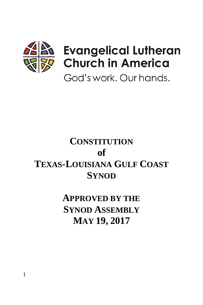

# **Evangelical Lutheran Church in America**

God's work. Our hands.

## **CONSTITUTION of TEXAS-LOUISIANA GULF COAST SYNOD**

## **APPROVED BY THE SYNOD ASSEMBLY MAY 19, 2017**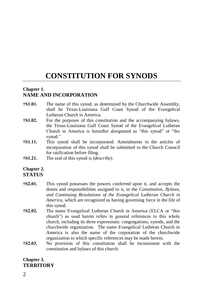## **CONSTITUTION FOR SYNODS**

#### **Chapter 1.**

## **NAME AND INCORPORATION**

- **†S1.01.** The name of this synod, as determined by the Churchwide Assembly, shall be Texas-Louisiana Gulf Coast Synod of the Evangelical Lutheran Church in America.
- **†S1.02.** For the purposes of this constitution and the accompanying bylaws, the Texas-Louisiana Gulf Coast Synod of the Evangelical Lutheran Church in America is hereafter designated as "this synod" or "the synod."
- **†S1.11.** This synod shall be incorporated. Amendments to the articles of incorporation of this synod shall be submitted to the Church Council for ratification before filing.
- **†S1.21.** The seal of this synod is *(describe)*.

#### **Chapter 2. STATUS**

- **†S2.01.** This synod possesses the powers conferred upon it, and accepts the duties and responsibilities assigned to it, in the *Constitution, Bylaws, and Continuing Resolutions of the Evangelical Lutheran Church in America*, which are recognized as having governing force in the life of this synod.
- **†S2.02.** The name Evangelical Lutheran Church in America (ELCA or "this church") as used herein refers in general references to this whole church, including its three expressions: congregations, synods, and the churchwide organization. The name Evangelical Lutheran Church in America is also the name of the corporation of the churchwide organization to which specific references may be made herein.
- **†S2.03.** No provision of this constitution shall be inconsistent with the constitution and bylaws of this church.

#### **Chapter 3. TERRITORY**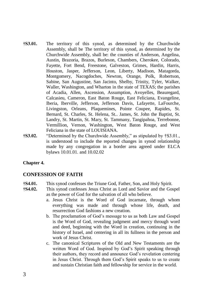- **†S3.01.** The territory of this synod, as determined by the Churchwide Assembly, shall be The territory of this synod, as determined by the Churchwide Assembly, shall be: the counties of Anderson, Angelina, Austin, Brazoria, Brazos, Burleson, Chambers, Cherokee, Colorado, Fayette, Fort Bend, Freestone, Galveston, Grimes, Hardin, Harris, Houston, Jasper, Jefferson, Leon, Liberty, Madison, Matagorda, Montgomery, Nacogdoches, Newton, Orange, Polk, Robertson, Sabine, San Augustine, San Jacinto, Shelby, Trinity, Tyler, Walker, Waller, Washington, and Wharton in the state of TEXAS; the parishes of Acadia, Allen, Ascension, Assumption, Avoyelles, Beauregard, Calcasieu, Cameron, East Baton Rouge, East Feliciana, Evangeline, Iberia, Iberville, Jefferson, Jefferson Davis, Lafayette, LaFourche, Livingston, Orleans, Plaquemines, Pointe Coupee, Rapides, St. Bernard, St. Charles, St. Helena, St.. James, St. John the Baptist, St. Landry, St. Martin, St. Mary, St. Tammany, Tangipahoa, Terrebonne, Vermillion, Vernon, Washington, West Baton Rouge, and West Feliciana in the state of LOUISIANA.
- **†S3.02.** "Determined by the Churchwide Assembly," as stipulated by †S3.01., is understood to include the reported changes in synod relationship made by any congregation in a border area agreed under ELCA bylaws 10.01.01. and 10.02.02

#### **Chapter 4.**

#### **CONFESSION OF FAITH**

- **†S4.01.** This synod confesses the Triune God, Father, Son, and Holy Spirit.
- **†S4.02.** This synod confesses Jesus Christ as Lord and Savior and the Gospel as the power of God for the salvation of all who believe.
	- a. Jesus Christ is the Word of God incarnate, through whom everything was made and through whose life, death, and resurrection God fashions a new creation.
	- b. The proclamation of God's message to us as both Law and Gospel is the Word of God, revealing judgment and mercy through word and deed, beginning with the Word in creation, continuing in the history of Israel, and centering in all its fullness in the person and work of Jesus Christ.
	- c. The canonical Scriptures of the Old and New Testaments are the written Word of God. Inspired by God's Spirit speaking through their authors, they record and announce God's revelation centering in Jesus Christ. Through them God's Spirit speaks to us to create and sustain Christian faith and fellowship for service in the world.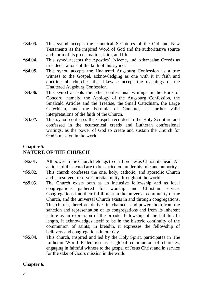- **†S4.03.** This synod accepts the canonical Scriptures of the Old and New Testaments as the inspired Word of God and the authoritative source and norm of its proclamation, faith, and life.
- **†S4.04.** This synod accepts the Apostles', Nicene, and Athanasian Creeds as true declarations of the faith of this synod.
- **†S4.05.** This synod accepts the Unaltered Augsburg Confession as a true witness to the Gospel, acknowledging as one with it in faith and doctrine all churches that likewise accept the teachings of the Unaltered Augsburg Confession.
- **†S4.06.** This synod accepts the other confessional writings in the Book of Concord, namely, the Apology of the Augsburg Confession, the Smalcald Articles and the Treatise, the Small Catechism, the Large Catechism, and the Formula of Concord, as further valid interpretations of the faith of the Church.
- **†S4.07.** This synod confesses the Gospel, recorded in the Holy Scripture and confessed in the ecumenical creeds and Lutheran confessional writings, as the power of God to create and sustain the Church for God's mission in the world.

## **Chapter 5. NATURE OF THE CHURCH**

- **†S5.01.** All power in the Church belongs to our Lord Jesus Christ, its head. All actions of this synod are to be carried out under his rule and authority.
- **†S5.02.** This church confesses the one, holy, catholic, and apostolic Church and is resolved to serve Christian unity throughout the world.
- **†S5.03.** The Church exists both as an inclusive fellowship and as local congregations gathered for worship and Christian service. Congregations find their fulfillment in the universal community of the Church, and the universal Church exists in and through congregations. This church, therefore, derives its character and powers both from the sanction and representation of its congregations and from its inherent nature as an expression of the broader fellowship of the faithful. In length, it acknowledges itself to be in the historic continuity of the communion of saints; in breadth, it expresses the fellowship of believers and congregations in our day.
- **†S5.04.** This church, inspired and led by the Holy Spirit, participates in The Lutheran World Federation as a global communion of churches, engaging in faithful witness to the gospel of Jesus Christ and in service for the sake of God's mission in the world.

## **Chapter 6.**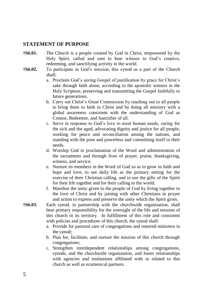#### **STATEMENT OF PURPOSE**

- **†S6.01.** The Church is a people created by God in Christ, empowered by the Holy Spirit, called and sent to bear witness to God's creative, redeeming, and sanctifying activity in the world.
- **†S6.02.** To participate in God's mission, this synod as a part of the Church shall:
	- a. Proclaim God's saving Gospel of justification by grace for Christ's sake through faith alone, according to the apostolic witness in the Holy Scripture, preserving and transmitting the Gospel faithfully to future generations.
	- b. Carry out Christ's Great Commission by reaching out to all people to bring them to faith in Christ and by doing all ministry with a global awareness consistent with the understanding of God as Creator, Redeemer, and Sanctifier of all.
	- c. Serve in response to God's love to meet human needs, caring for the sick and the aged, advocating dignity and justice for all people, working for peace and reconciliation among the nations, and standing with the poor and powerless and committing itself to their needs.
	- d. Worship God in proclamation of the Word and administration of the sacraments and through lives of prayer, praise, thanksgiving, witness, and service.
	- e. Nurture its members in the Word of God so as to grow in faith and hope and love, to see daily life as the primary setting for the exercise of their Christian calling, and to use the gifts of the Spirit for their life together and for their calling in the world.
	- f. Manifest the unity given to the people of God by living together in the love of Christ and by joining with other Christians in prayer and action to express and preserve the unity which the Spirit gives.
- **†S6.03.** Each synod, in partnership with the churchwide organization, shall bear primary responsibility for the oversight of the life and mission of this church in its territory. In fulfillment of this role and consistent with policies and procedures of this church, the synod shall:
	- a. Provide for pastoral care of congregations and rostered ministers in the synod;
	- b. Plan for, facilitate, and nurture the mission of this church through congregations;
	- c. Strengthen interdependent relationships among congregations, synods, and the churchwide organization, and foster relationships with agencies and institutions affiliated with or related to this church as well as ecumenical partners.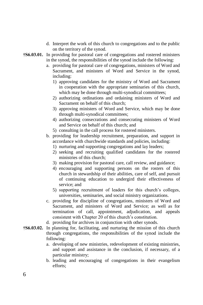- d. Interpret the work of this church to congregations and to the public on the territory of the synod.
- **†S6.03.01.** In providing for pastoral care of congregations and rostered ministers in the synod, the responsibilities of the synod include the following:
	- a. providing for pastoral care of congregations, ministers of Word and Sacrament, and ministers of Word and Service in the synod, including:
		- 1) approving candidates for the ministry of Word and Sacrament in cooperation with the appropriate seminaries of this church, which may be done through multi-synodical committees;
		- 2) authorizing ordinations and ordaining ministers of Word and Sacrament on behalf of this church;
		- 3) approving ministers of Word and Service, which may be done through multi-synodical committees;
		- 4) authorizing consecrations and consecrating ministers of Word and Service on behalf of this church; and
		- 5) consulting in the call process for rostered ministers.
	- b. providing for leadership recruitment, preparation, and support in accordance with churchwide standards and policies, including:
		- 1) nurturing and supporting congregations and lay leaders;
		- 2) seeking and recruiting qualified candidates for the rostered ministries of this church;
		- 3) making provision for pastoral care, call review, and guidance;
		- 4) encouraging and supporting persons on the rosters of this church in stewardship of their abilities, care of self, and pursuit of continuing education to undergird their effectiveness of service; and
		- 5) supporting recruitment of leaders for this church's colleges, universities, seminaries, and social ministry organizations.
	- c. providing for discipline of congregations, ministers of Word and Sacrament, and ministers of Word and Service; as well as for termination of call, appointment, adjudication, and appeals consistent with Chapter 20 of this church's constitution.
	- d. providing for archives in conjunction with other synods.
- **†S6.03.02.** In planning for, facilitating, and nurturing the mission of this church through congregations, the responsibilities of the synod include the following:
	- a. developing of new ministries, redevelopment of existing ministries, and support and assistance in the conclusion, if necessary, of a particular ministry;
	- b. leading and encouraging of congregations in their evangelism efforts;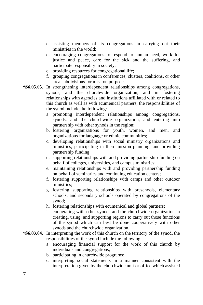- c. assisting members of its congregations in carrying out their ministries in the world;
- d. encouraging congregations to respond to human need, work for justice and peace, care for the sick and the suffering, and participate responsibly in society;
- e. providing resources for congregational life;
- f. grouping congregations in conferences, clusters, coalitions, or other area subdivisions for mission purposes.
- **†S6.03.03.** In strengthening interdependent relationships among congregations, synods, and the churchwide organization, and in fostering relationships with agencies and institutions affiliated with or related to this church as well as with ecumenical partners, the responsibilities of the synod include the following:
	- a. promoting interdependent relationships among congregations, synods, and the churchwide organization, and entering into partnership with other synods in the region;
	- b. fostering organizations for youth, women, and men, and organizations for language or ethnic communities;
	- c. developing relationships with social ministry organizations and ministries, participating in their mission planning, and providing partnership funding;
	- d. supporting relationships with and providing partnership funding on behalf of colleges, universities, and campus ministries;
	- e. maintaining relationships with and providing partnership funding on behalf of seminaries and continuing education centers;
	- f. fostering supporting relationships with camps and other outdoor ministries;
	- g. fostering supporting relationships with preschools, elementary schools, and secondary schools operated by congregations of the synod;
	- h. fostering relationships with ecumenical and global partners;
	- i. cooperating with other synods and the churchwide organization in creating, using, and supporting regions to carry out those functions of the synod which can best be done cooperatively with other synods and the churchwide organization.
- **†S6.03.04.** In interpreting the work of this church on the territory of the synod, the responsibilities of the synod include the following:
	- a. encouraging financial support for the work of this church by individuals and congregations;
	- b. participating in churchwide programs;
	- c. interpreting social statements in a manner consistent with the interpretation given by the churchwide unit or office which assisted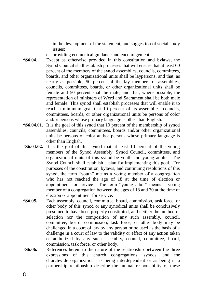in the development of the statement, and suggestion of social study issues;

- d. providing ecumenical guidance and encouragement.
- **†S6.04.** Except as otherwise provided in this constitution and bylaws, the Synod Council shall establish processes that will ensure that at least 60 percent of the members of the synod assemblies, councils, committees, boards, and other organizational units shall be laypersons; and that, as nearly as possible, 50 percent of the lay members of assemblies, councils, committees, boards, or other organizational units shall be female and 50 percent shall be male; and that, where possible, the representation of ministers of Word and Sacrament shall be both male and female. This synod shall establish processes that will enable it to reach a minimum goal that 10 percent of its assemblies, councils, committees, boards, or other organizational units be persons of color and/or persons whose primary language is other than English.
- **†S6.04.01.** It is the goal of this synod that 10 percent of the membership of synod assemblies, councils, committees, boards and/or other organizational units be persons of color and/or persons whose primary language is other than English.
- **†S6.04.02.** It is the goal of this synod that at least 10 percent of the voting members of the Synod Assembly, Synod Council, committees, and organizational units of this synod be youth and young adults. The Synod Council shall establish a plan for implementing this goal. For purposes of the constitution, bylaws, and continuing resolutions of this synod, the term "youth" means a voting member of a congregation who has not reached the age of 18 at the time of election or appointment for service. The term "young adult" means a voting member of a congregation between the ages of 18 and 30 at the time of election or appointment for service.
- **†S6.05.** Each assembly, council, committee, board, commission, task force, or other body of this synod or any synodical units shall be conclusively presumed to have been properly constituted, and neither the method of selection nor the composition of any such assembly, council, committee, board, commission, task force, or other body may be challenged in a court of law by any person or be used as the basis of a challenge in a court of law to the validity or effect of any action taken or authorized by any such assembly, council, committee, board, commission, task force, or other body.
- **†S6.06.** References herein to the nature of the relationship between the three expressions of this church—congregations, synods, and the churchwide organization—as being interdependent or as being in a partnership relationship describe the mutual responsibility of these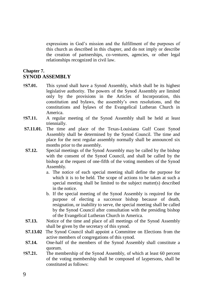expressions in God's mission and the fulfillment of the purposes of this church as described in this chapter, and do not imply or describe the creation of partnerships, co-ventures, agencies, or other legal relationships recognized in civil law.

## **Chapter 7. SYNOD ASSEMBLY**

- **†S7.01.** This synod shall have a Synod Assembly, which shall be its highest legislative authority. The powers of the Synod Assembly are limited only by the provisions in the Articles of Incorporation, this constitution and bylaws, the assembly's own resolutions, and the constitutions and bylaws of the Evangelical Lutheran Church in America.
- **†S7.11.** A regular meeting of the Synod Assembly shall be held at least triennially.
- **S7.11.01.** The time and place of the Texas-Louisiana Gulf Coast Synod Assembly shall be determined by the Synod Council. The time and place for the next regular assembly normally shall be announced six months prior to the assembly.
- **S7.12.** Special meetings of the Synod Assembly may be called by the bishop with the consent of the Synod Council, and shall be called by the bishop at the request of one-fifth of the voting members of the Synod Assembly.
	- a. The notice of each special meeting shall define the purpose for which it is to be held. The scope of actions to be taken at such a special meeting shall be limited to the subject matter(s) described in the notice.
	- b. If the special meeting of the Synod Assembly is required for the purpose of electing a successor bishop because of death, resignation, or inability to serve, the special meeting shall be called by the Synod Council after consultation with the presiding bishop of the Evangelical Lutheran Church in America.
- **S7.13.** Notice of the time and place of all meetings of the Synod Assembly shall be given by the secretary of this synod.
- **S7.13.02** The Synod Council shall appoint a Committee on Elections from the active members of congregations of this synod.
- **S7.14.** One-half of the members of the Synod Assembly shall constitute a quorum.
- **†S7.21.** The membership of the Synod Assembly, of which at least 60 percent of the voting membership shall be composed of laypersons, shall be constituted as follows: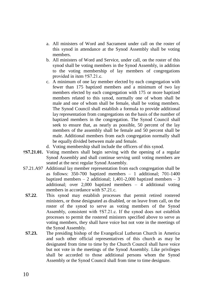- a. All ministers of Word and Sacrament under call on the roster of this synod in attendance at the Synod Assembly shall be voting members.
- b. All ministers of Word and Service, under call, on the roster of this synod shall be voting members in the Synod Assembly, in addition to the voting membership of lay members of congregations provided in item †S7.21.c.
- c. A minimum of one lay member elected by each congregation with fewer than 175 baptized members and a minimum of two lay members elected by each congregation with 175 or more baptized members related to this synod, normally one of whom shall be male and one of whom shall be female, shall be voting members. The Synod Council shall establish a formula to provide additional lay representation from congregations on the basis of the number of baptized members in the congregation. The Synod Council shall seek to ensure that, as nearly as possible, 50 percent of the lay members of the assembly shall be female and 50 percent shall be male. Additional members from each congregation normally shall be equally divided between male and female.
- d. Voting membership shall include the officers of this synod.
- **†S7.21.01.** Voting members shall begin serving with the opening of a regular Synod Assembly and shall continue serving until voting members are seated at the next regular Synod Assembly.
- S7.21.A97 Additional lay member representation from each congregation shall be as follows: 350-700 baptized members – 1 additional; 701-1400 baptized members  $-2$  additional; 1,401-2,000 baptized members  $-3$ additional; over 2,000 baptized members – 4 additional voting members in accordance with S7.21.c.
	- **S7.22**. This synod may establish processes that permit retired rostered ministers, or those designated as disabled, or on leave from call, on the roster of the synod to serve as voting members of the Synod Assembly, consistent with †S7.21.c. If the synod does not establish processes to permit the rostered ministers specified above to serve as voting members, they shall have voice but not vote in the meetings of the Synod Assembly.
	- **S7.23.** The presiding bishop of the Evangelical Lutheran Church in America and such other official representatives of this church as may be designated from time to time by the Church Council shall have voice but not vote in the meetings of the Synod Assembly. Like privileges shall be accorded to those additional persons whom the Synod Assembly or the Synod Council shall from time to time designate.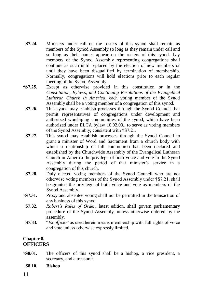- **S7.24.** Ministers under call on the rosters of this synod shall remain as members of the Synod Assembly so long as they remain under call and so long as their names appear on the rosters of this synod. Lay members of the Synod Assembly representing congregations shall continue as such until replaced by the election of new members or until they have been disqualified by termination of membership. Normally, congregations will hold elections prior to each regular meeting of the Synod Assembly.
- **†S7.25.** Except as otherwise provided in this constitution or in the *Constitution, Bylaws, and Continuing Resolutions of the Evangelical Lutheran Church in America,* each voting member of the Synod Assembly shall be a voting member of a congregation of this synod.
	- **S7.26.** This synod may establish processes through the Synod Council that permit representatives of congregations under development and authorized worshiping communities of the synod, which have been authorized under ELCA bylaw 10.02.03., to serve as voting members of the Synod Assembly, consistent with †S7.21.
	- **S7.27.** This synod may establish processes through the Synod Council to grant a minister of Word and Sacrament from a church body with which a relationship of full communion has been declared and established by the Churchwide Assembly of the Evangelical Lutheran Church in America the privilege of both voice and vote in the Synod Assembly during the period of that minister's service in a congregation of this church.
	- **S7.28.** Duly elected voting members of the Synod Council who are not otherwise voting members of the Synod Assembly under †S7.21. shall be granted the privilege of both voice and vote as members of the Synod Assembly.
- **†S7.31.** Proxy and absentee voting shall not be permitted in the transaction of any business of this synod.
	- **S7.32.** *Robert's Rules of Order*, latest edition, shall govern parliamentary procedure of the Synod Assembly, unless otherwise ordered by the assembly.
	- **S7.33.** "*Ex officio*" as used herein means membership with full rights of voice and vote unless otherwise expressly limited.

#### **Chapter 8. OFFICERS**

**†S8.01.** The officers of this synod shall be a bishop, a vice president, a secretary, and a treasurer.

## **S8.10. Bishop**

11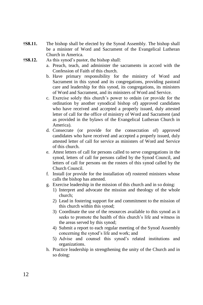- **†S8.11.** The bishop shall be elected by the Synod Assembly. The bishop shall be a minister of Word and Sacrament of the Evangelical Lutheran Church in America.
- **†S8.12.** As this synod's pastor, the bishop shall:
	- a. Preach, teach, and administer the sacraments in accord with the Confession of Faith of this church.
	- b. Have primary responsibility for the ministry of Word and Sacrament in this synod and its congregations, providing pastoral care and leadership for this synod, its congregations, its ministers of Word and Sacrament, and its ministers of Word and Service.
	- c. Exercise solely this church's power to ordain (or provide for the ordination by another synodical bishop of) approved candidates who have received and accepted a properly issued, duly attested letter of call for the office of ministry of Word and Sacrament (and as provided in the bylaws of the Evangelical Lutheran Church in America).
	- d. Consecrate (or provide for the consecration of) approved candidates who have received and accepted a properly issued, duly attested letter of call for service as ministers of Word and Service of this church.
	- e. Attest letters of call for persons called to serve congregations in the synod, letters of call for persons called by the Synod Council, and letters of call for persons on the rosters of this synod called by the Church Council.
	- f. Install (or provide for the installation of) rostered ministers whose calls the bishop has attested.
	- g. Exercise leadership in the mission of this church and in so doing:
		- 1) Interpret and advocate the mission and theology of the whole church;
		- 2) Lead in fostering support for and commitment to the mission of this church within this synod;
		- 3) Coordinate the use of the resources available to this synod as it seeks to promote the health of this church's life and witness in the areas served by this synod;
		- 4) Submit a report to each regular meeting of the Synod Assembly concerning the synod's life and work; and
		- 5) Advise and counsel this synod's related institutions and organizations.
	- h. Practice leadership in strengthening the unity of the Church and in so doing: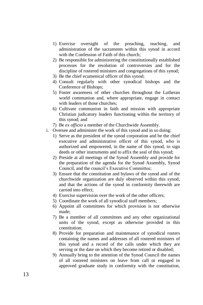- 1) Exercise oversight of the preaching, teaching, and administration of the sacraments within this synod in accord with the Confession of Faith of this church;
- 2) Be responsible for administering the constitutionally established processes for the resolution of controversies and for the discipline of rostered ministers and congregations of this synod;
- 3) Be the chief ecumenical officer of this synod;
- 4) Consult regularly with other synodical bishops and the Conference of Bishops;
- 5) Foster awareness of other churches throughout the Lutheran world communion and, where appropriate, engage in contact with leaders of those churches;
- 6) Cultivate communion in faith and mission with appropriate Christian judicatory leaders functioning within the territory of this synod; and
- 7) Be *ex officio* a member of the Churchwide Assembly.
- i. Oversee and administer the work of this synod and in so doing:
	- 1) Serve as the president of the synod corporation and be the chief executive and administrative officer of this synod, who is authorized and empowered, in the name of this synod, to sign deeds or other instruments and to affix the seal of this synod;
	- 2) Preside at all meetings of the Synod Assembly and provide for the preparation of the agenda for the Synod Assembly, Synod Council, and the council's Executive Committee;
	- 3) Ensure that the constitution and bylaws of the synod and of the churchwide organization are duly observed within this synod, and that the actions of the synod in conformity therewith are carried into effect;
	- 4) Exercise supervision over the work of the other officers;
	- 5) Coordinate the work of all synodical staff members;
	- 6) Appoint all committees for which provision is not otherwise made;
	- 7) Be a member of all committees and any other organizational units of the synod, except as otherwise provided in this constitution;
	- 8) Provide for preparation and maintenance of synodical rosters containing the names and addresses of all rostered ministers of this synod and a record of the calls under which they are serving or the date on which they become retired or disabled;
	- 9) Annually bring to the attention of the Synod Council the names of all rostered ministers on leave from call or engaged in approved graduate study in conformity with the constitution,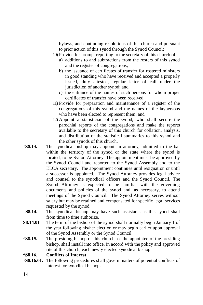bylaws, and continuing resolutions of this church and pursuant to prior action of this synod through the Synod Council;

- 10) Provide for prompt reporting to the secretary of this church of:
	- a) additions to and subtractions from the rosters of this synod and the register of congregations;
	- b) the issuance of certificates of transfer for rostered ministers in good standing who have received and accepted a properly issued, duly attested, regular letter of call under the jurisdiction of another synod; and
	- c) the entrance of the names of such persons for whom proper certificates of transfer have been received;
- 11) Provide for preparation and maintenance of a register of the congregations of this synod and the names of the laypersons who have been elected to represent them; and
- 12) Appoint a statistician of the synod, who shall secure the parochial reports of the congregations and make the reports available to the secretary of this church for collation, analysis, and distribution of the statistical summaries to this synod and the other synods of this church.
- **†S8.13.** The synodical bishop may appoint an attorney, admitted to the bar within the territory of the synod or the state where the synod is located, to be Synod Attorney. The appointment must be approved by the Synod Council and reported to the Synod Assembly and to the ELCA secretary. The appointment continues until resignation or until a successor is appointed. The Synod Attorney provides legal advice and counsel to the synodical officers and the Synod Council. The Synod Attorney is expected to be familiar with the governing documents and policies of the synod and, as necessary, to attend meetings of the Synod Council. The Synod Attorney serves without salary but may be retained and compensated for specific legal services requested by the synod.
- **S8.14.** The synodical bishop may have such assistants as this synod shall from time to time authorize.
- **S8.14.01** The term of the bishop of the synod shall normally begin January 1 of the year following his/her election or may begin earlier upon approval of the Synod Assembly or the Synod Council.
- **†S8.15.** The presiding bishop of this church, or the appointee of the presiding bishop, shall install into office, in accord with the policy and approved rite of this church, each newly elected synodical bishop.

#### **†S8.16. Conflicts of Interest**

- **†S8.16.01.** The following procedures shall govern matters of potential conflicts of interest for synodical bishops:
- 14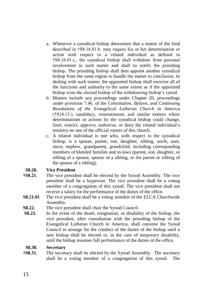- a. Whenever a synodical bishop determines that a matter of the kind described in †S8.16.01.b. may require his or her determination or action with respect to a related individual as defined in †S8.16.01.c., the synodical bishop shall withdraw from personal involvement in such matter and shall so notify the presiding bishop. The presiding bishop shall then appoint another synodical bishop from the same region to handle the matter to conclusion. In dealing with such matter, the appointed bishop shall exercise all of the functions and authority to the same extent as if the appointed bishop were the elected bishop of the withdrawing bishop's synod.
- b. Matters include any proceedings under Chapter 20, proceedings under provision 7.46. of the *Constitution, Bylaws, and Continuing Resolutions of the Evangelical Lutheran Church in America* (†S14.13.), candidacy, reinstatement, and similar matters where determinations or actions by the synodical bishop could change, limit, restrict, approve, authorize, or deny the related individual's ministry on one of the official rosters of this church.
- c. A related individual is one who, with respect to the synodical bishop, is a spouse, parent, son, daughter, sibling, uncle, aunt, niece, nephew, grandparent, grandchild, including corresponding members of blended families and in-laws (parent, son, daughter, or sibling of a spouse, spouse of a sibling, or the parent or sibling of the spouse of a sibling).

#### **S8.20. Vice President**

- **†S8.21.** The vice president shall be elected by the Synod Assembly. The vice president shall be a layperson. The vice president shall be a voting member of a congregation of this synod. The vice president shall not receive a salary for the performance of the duties of the office.
- **S8.21.01** The vice president shall be a voting member of the ELCA Churchwide Assembly.
- **S8.22.** The vice president shall chair the Synod Council.
- **S8.23.** In the event of the death, resignation, or disability of the bishop, the vice president, after consultation with the presiding bishop of the Evangelical Lutheran Church in America, shall convene the Synod Council to arrange for the conduct of the duties of the bishop until a new bishop shall be elected or, in the case of temporary disability, until the bishop resumes full performance of the duties of the office.

#### **S8.30. Secretary**

**†S8.31.** The secretary shall be elected by the Synod Assembly. The secretary shall be a voting member of a congregation of this synod. The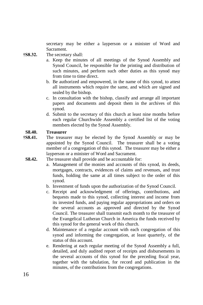secretary may be either a layperson or a minister of Word and Sacrament.

- **†S8.32.** The secretary shall:
	- a. Keep the minutes of all meetings of the Synod Assembly and Synod Council, be responsible for the printing and distribution of such minutes, and perform such other duties as this synod may from time to time direct.
	- b. Be authorized and empowered, in the name of this synod, to attest all instruments which require the same, and which are signed and sealed by the bishop.
	- c. In consultation with the bishop, classify and arrange all important papers and documents and deposit them in the archives of this synod.
	- d. Submit to the secretary of this church at least nine months before each regular Churchwide Assembly a certified list of the voting members elected by the Synod Assembly.

#### **S8.40. Treasurer**

- **†S8.41.** The treasurer may be elected by the Synod Assembly or may be appointed by the Synod Council. The treasurer shall be a voting member of a congregation of this synod. The treasurer may be either a layperson or a minister of Word and Sacrament.
	- **S8.42.** The treasurer shall provide and be accountable for:
		- a. Management of the monies and accounts of this synod, its deeds, mortgages, contracts, evidences of claims and revenues, and trust funds, holding the same at all times subject to the order of this synod.
		- b. Investment of funds upon the authorization of the Synod Council.
		- c. Receipt and acknowledgment of offerings, contributions, and bequests made to this synod, collecting interest and income from its invested funds, and paying regular appropriations and orders on the several accounts as approved and directed by the Synod Council. The treasurer shall transmit each month to the treasurer of the Evangelical Lutheran Church in America the funds received by this synod for the general work of this church.
		- d. Maintenance of a regular account with each congregation of this synod and informing the congregation, at least quarterly, of the status of this account.
		- e. Rendering at each regular meeting of the Synod Assembly a full, detailed, and duly audited report of receipts and disbursements in the several accounts of this synod for the preceding fiscal year, together with the tabulation, for record and publication in the minutes, of the contributions from the congregations.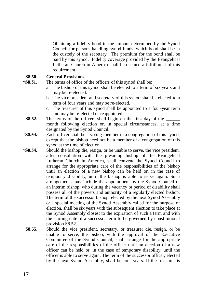f. Obtaining a fidelity bond in the amount determined by the Synod Council for persons handling synod funds, which bond shall be in the custody of the secretary. The premium for the bond shall be paid by this synod. Fidelity coverage provided by the Evangelical Lutheran Church in America shall be deemed a fulfillment of this requirement.

#### **S8.50. General Provisions**

- **†S8.51.** The terms of office of the officers of this synod shall be:
	- a. The bishop of this synod shall be elected to a term of six years and may be re-elected.
	- b. The vice president and secretary of this synod shall be elected to a term of four years and may be re-elected.
	- c. The treasurer of this synod shall be appointed to a four-year term and may be re-elected or reappointed.
- **S8.52.** The terms of the officers shall begin on the first day of the month following election or, in special circumstances, at a time designated by the Synod Council.
- **†S8.53.** Each officer shall be a voting member in a congregation of this synod, except that the bishop need not be a member of a congregation of this synod at the time of election.
- **†S8.54.** Should the bishop die, resign, or be unable to serve, the vice president, after consultation with the presiding bishop of the Evangelical Lutheran Church in America, shall convene the Synod Council to arrange for the appropriate care of the responsibilities of the bishop until an election of a new bishop can be held or, in the case of temporary disability, until the bishop is able to serve again. Such arrangements may include the appointment by the Synod Council of an interim bishop, who during the vacancy or period of disability shall possess all of the powers and authority of a regularly elected bishop. The term of the successor bishop, elected by the next Synod Assembly or a special meeting of the Synod Assembly called for the purpose of election, shall be six years with the subsequent election to take place at the Synod Assembly closest to the expiration of such a term and with the starting date of a successor term to be governed by constitutional provision S8.52.
- **S8.55.** Should the vice president, secretary, or treasurer die, resign, or be unable to serve, the bishop, with the approval of the Executive Committee of the Synod Council, shall arrange for the appropriate care of the responsibilities of the officer until an election of a new officer can be held or, in the case of temporary disability, until the officer is able to serve again. The term of the successor officer, elected by the next Synod Assembly, shall be four years. If the treasurer is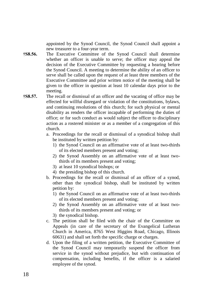appointed by the Synod Council, the Synod Council shall appoint a new treasurer to a four-year term.

- **†S8.56.** The Executive Committee of the Synod Council shall determine whether an officer is unable to serve; the officer may appeal the decision of the Executive Committee by requesting a hearing before the Synod Council. A meeting to determine the ability of an officer to serve shall be called upon the request of at least three members of the Executive Committee and prior written notice of the meeting shall be given to the officer in question at least 10 calendar days prior to the meeting.
- **†S8.57.** The recall or dismissal of an officer and the vacating of office may be effected for willful disregard or violation of the constitutions, bylaws, and continuing resolutions of this church; for such physical or mental disability as renders the officer incapable of performing the duties of office; or for such conduct as would subject the officer to disciplinary action as a rostered minister or as a member of a congregation of this church.
	- a. Proceedings for the recall or dismissal of a synodical bishop shall be instituted by written petition by:
		- 1) the Synod Council on an affirmative vote of at least two-thirds of its elected members present and voting;
		- 2) the Synod Assembly on an affirmative vote of at least twothirds of its members present and voting;
		- 3) at least 10 synodical bishops; or
		- 4) the presiding bishop of this church.
	- b. Proceedings for the recall or dismissal of an officer of a synod, other than the synodical bishop, shall be instituted by written petition by:
		- 1) the Synod Council on an affirmative vote of at least two-thirds of its elected members present and voting;
		- 2) the Synod Assembly on an affirmative vote of at least twothirds of its members present and voting; or
		- 3) the synodical bishop.
	- c. The petition shall be filed with the chair of the Committee on Appeals (in care of the secretary of the Evangelical Lutheran Church in America, 8765 West Higgins Road, Chicago, Illinois 60631) and shall set forth the specific charge or charges.
	- d. Upon the filing of a written petition, the Executive Committee of the Synod Council may temporarily suspend the officer from service in the synod without prejudice, but with continuation of compensation, including benefits, if the officer is a salaried employee of the synod.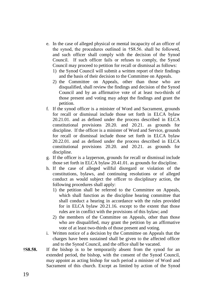- e. In the case of alleged physical or mental incapacity of an officer of the synod, the procedures outlined in †S8.56. shall be followed, and such officer shall comply with the decision of the Synod Council. If such officer fails or refuses to comply, the Synod Council may proceed to petition for recall or dismissal as follows:
	- 1) the Synod Council will submit a written report of their findings and the basis of their decision to the Committee on Appeals.
	- 2) the Committee on Appeals, other than those who are disqualified, shall review the findings and decision of the Synod Council and by an affirmative vote of at least two-thirds of those present and voting may adopt the findings and grant the petition.
- f. If the synod officer is a minister of Word and Sacrament, grounds for recall or dismissal include those set forth in ELCA bylaw 20.21.01. and as defined under the process described in ELCA constitutional provisions 20.20. and 20.21. as grounds for discipline. If the officer is a minister of Word and Service, grounds for recall or dismissal include those set forth in ELCA bylaw 20.22.01. and as defined under the process described in ELCA constitutional provisions 20.20. and 20.21. as grounds for discipline.
- g. If the officer is a layperson, grounds for recall or dismissal include those set forth in ELCA bylaw 20.41.01. as grounds for discipline.
- h. If the case of alleged willful disregard or violation of the constitutions, bylaws, and continuing resolutions or of alleged conduct as would subject the officer to disciplinary action, the following procedures shall apply:
	- 1) the petition shall be referred to the Committee on Appeals, which shall function as the discipline hearing committee that shall conduct a hearing in accordance with the rules provided for in ELCA bylaw 20.21.16. except to the extent that those rules are in conflict with the provisions of this bylaw; and
	- 2) the members of the Committee on Appeals, other than those who are disqualified, may grant the petition by an affirmative vote of at least two-thirds of those present and voting.
- i. Written notice of a decision by the Committee on Appeals that the charges have been sustained shall be given to the affected officer and to the Synod Council, and the office shall be vacated.
- **†S8.58.** If the bishop is to be temporarily absent from the synod for an extended period, the bishop, with the consent of the Synod Council, may appoint as acting bishop for such period a minister of Word and Sacrament of this church. Except as limited by action of the Synod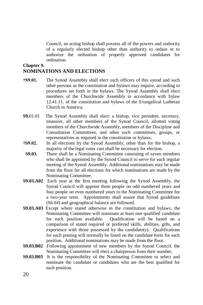Council, an acting bishop shall possess all of the powers and authority of a regularly elected bishop other than authority to ordain or to authorize the ordination of properly approved candidates for ordination.

#### **Chapter 9. NOMINATIONS AND ELECTIONS**

- **†S9.01.** The Synod Assembly shall elect such officers of this synod and such other persons as the constitution and bylaws may require, according to procedures set forth in the bylaws. The Synod Assembly shall elect members of the Churchwide Assembly in accordance with bylaw 12.41.11. of the constitution and bylaws of the Evangelical Lutheran Church in America.
- **S9.**01.01 The Synod Assembly shall elect: a bishop, vice president, secretary, treasurer, all other members of the Synod Council, allotted voting members of the Churchwide Assembly, members of the Discipline and Consultation Committees, and other such committees, groups, or representatives as required in the constitution or bylaws.
- **†S9.02.** In all elections by the Synod Assembly, other than for the bishop, a majority of the legal votes cast shall be necessary for election.
- **S9.03.** There shall be a Nominating Committee consisting of seven members who shall be appointed by the Synod Council to serve for each regular meeting of the Synod Assembly. Additional nominations may be made from the floor for all elections for which nominations are made by the Nominating Committee.
- **S9.03.A02** Each year at the first meeting following the Synod Assembly, the Synod Council will appoint three people on odd numbered years and four people on even numbered years to the Nominating Committee for a two-year term. Appointments shall assure that Synod guidelines (S6.04) and geographical balance are followed.
- **S9.03.A03** Except where stated otherwise in the constitution and bylaws, the Nominating Committee will nominate at least one qualified candidate for each position available. Qualification will be based on a comparison of stated required or preferred skills, abilities, gifts, and experience with those possessed by the candidate(s). Qualifications for each posting will normally be listed on the candidate form for each position. Additional nominations may be made from the floor.
- **S9.03.B02** Following appointment of new members by the Synod Council, the Nominating Committee will elect a chairperson from their number**.**
- **S9.03.B03** It is the responsibility of the Nominating Committee to select and nominate the candidate or candidates who are the best qualified for each position.

20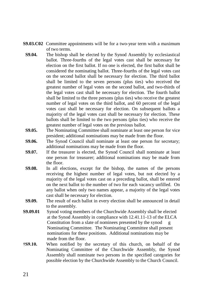- **S9.03.C02** Committee appointments will be for a two-year term with a maximum of two terms.
- **S9.04.** The bishop shall be elected by the Synod Assembly by ecclesiastical ballot. Three-fourths of the legal votes cast shall be necessary for election on the first ballot. If no one is elected, the first ballot shall be considered the nominating ballot. Three-fourths of the legal votes cast on the second ballot shall be necessary for election. The third ballot shall be limited to the seven persons (plus ties) who received the greatest number of legal votes on the second ballot, and two-thirds of the legal votes cast shall be necessary for election. The fourth ballot shall be limited to the three persons (plus ties) who receive the greatest number of legal votes on the third ballot, and 60 percent of the legal votes cast shall be necessary for election. On subsequent ballots a majority of the legal votes cast shall be necessary for election. These ballots shall be limited to the two persons (plus ties) who receive the greatest number of legal votes on the previous ballot.
- **S9.05.** The Nominating Committee shall nominate at least one person for vice president; additional nominations may be made from the floor.
- **S9.06.** The Synod Council shall nominate at least one person for secretary; additional nominations may be made from the floor.
- **S9.07.** If the treasurer is elected, the Synod Council shall nominate at least one person for treasurer; additional nominations may be made from the floor.
- **S9.08.** In all elections, except for the bishop, the names of the persons receiving the highest number of legal votes, but not elected by a majority of the legal votes cast on a preceding ballot, shall be entered on the next ballot to the number of two for each vacancy unfilled. On any ballot when only two names appear, a majority of the legal votes cast shall be necessary for election.
- **S9.09.** The result of each ballot in every election shall be announced in detail to the assembly.
- **S9.09.01** Synod voting members of the Churchwide Assembly shall be elected at the Synod Assembly in compliance with 12.41.11-13 of the ELCA Constitution from a slate of nominees presented by the synod g Nominating Committee. The Nominating Committee shall present nominations for these positions. Additional nominations may be made from the floor.
- **†S9.10.** When notified by the secretary of this church, on behalf of the Nominating Committee of the Churchwide Assembly, the Synod Assembly shall nominate two persons in the specified categories for possible election by the Churchwide Assembly to the Church Council.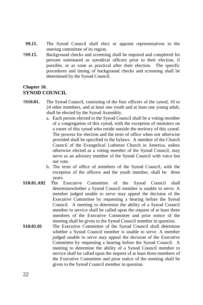- **S9.11.** The Synod Council shall elect or appoint representatives to the steering committee of its region.
- **†S9.12.** Background checks and screening shall be required and completed for persons nominated as synodical officers prior to their election, if possible, or as soon as practical after their election. The specific procedures and timing of background checks and screening shall be determined by the Synod Council.

## **Chapter 10. SYNOD COUNCIL**

- **†S10.01.** The Synod Council, consisting of the four officers of the synod, 10 to 24 other members, and at least one youth and at least one young adult, shall be elected by the Synod Assembly.
	- a. Each person elected to the Synod Council shall be a voting member of a congregation of this synod, with the exception of ministers on a roster of this synod who reside outside the territory of this synod. The process for election and the term of office when not otherwise provided shall be specified in the bylaws. A member of the Church Council of the Evangelical Lutheran Church in America, unless otherwise elected as a voting member of the Synod Council, may serve as an advisory member of the Synod Council with voice but not vote.
	- b. The term of office of members of the Synod Council, with the exception of the officers and the youth member, shall be three years.
- **S10.01.A92** The Executive Committee of the Synod Council shall determinewhether a Synod Council member is unable to serve. A member judged unable to serve may appeal the decision of the Executive Committee by requesting a hearing before the Synod Council. A meeting to determine the ability of a Synod Council member to service shall be called upon the request of at least three members of the Executive Committee and prior notice of the meeting shall be given to the Synod Council member in question.
- **S10.01.01** The Executive Committee of the Synod Council shall determine whether a Synod Council member is unable to serve. A member judged unable to serve may appeal the decision of the Executive Committee by requesting a hearing before the Synod Council. A meeting to determine the ability of a Synod Council member to service shall be called upon the request of at least three members of the Executive Committee and prior notice of the meeting shall be given to the Synod Council member in question.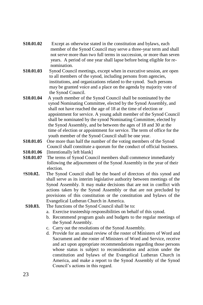- **S10.01.02** Except as otherwise stated in the constitution and bylaws, each member of the Synod Council may serve a three-year term and shall not serve more than two full terms in succession, or more than seven years. A period of one year shall lapse before being eligible for re nomination.
- **S10.01.03** Synod Council meetings, except when in executive session, are open to all members of the synod, including persons from agencies, institutions, and organizations related to the synod. Such persons may be granted voice and a place on the agenda by majority vote of the Synod Council.
- **S10.01.04** A youth member of the Synod Council shall be nominated by the synod Nominating Committee, elected by the Synod Assembly, and shall not have reached the age of 18 at the time of election or appointment for service. A young adult member of the Synod Council shall be nominated by the synod Nominating Committee, elected by the Synod Assembly, and be between the ages of 18 and 30 at the time of election or appointment for service. The term of office for the youth member of the Synod Council shall be one year.
- **S10.01.05** One more than half the number of the voting members of the Synod Council shall constitute a quorum for the conduct of official business.
- **S10.01.06** [Intentionally left blank]
- **S10.01.07** The terms of Synod Council members shall commence immediately following the adjournment of the Synod Assembly in the year of their election.
- **†S10.02.** The Synod Council shall be the board of directors of this synod and shall serve as its interim legislative authority between meetings of the Synod Assembly. It may make decisions that are not in conflict with actions taken by the Synod Assembly or that are not precluded by provisions of this constitution or the constitution and bylaws of the Evangelical Lutheran Church in America.
	- **S10.03.** The functions of the Synod Council shall be to:
		- a. Exercise trusteeship responsibilities on behalf of this synod.
		- b. Recommend program goals and budgets to the regular meetings of the Synod Assembly.
		- c. Carry out the resolutions of the Synod Assembly.
		- d. Provide for an annual review of the roster of Ministers of Word and Sacrament and the roster of Ministers of Word and Service, receive and act upon appropriate recommendations regarding those persons whose status is subject to reconsideration and action under the constitution and bylaws of the Evangelical Lutheran Church in America, and make a report to the Synod Assembly of the Synod Council's actions in this regard.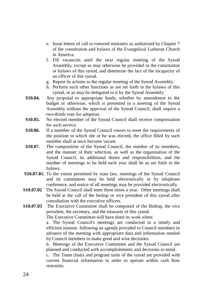- e. Issue letters of call to rostered ministers as authorized by Chapter 7 of the constitution and bylaws of the Evangelical Lutheran Church in America.
- f. Fill vacancies until the next regular meeting of the Synod Assembly, except as may otherwise be provided in the constitution or bylaws of this synod, and determine the fact of the incapacity of an officer of this synod.
- g. Report its actions to the regular meeting of the Synod Assembly.
- h. Perform such other functions as are set forth in the bylaws of this synod, or as may be delegated to it by the Synod Assembly.
- **S10.04.** Any proposal to appropriate funds, whether by amendment to the budget or otherwise, which is presented to a meeting of the Synod Assembly without the approval of the Synod Council, shall require a two-thirds vote for adoption.
- **S10.05.** No elected member of the Synod Council shall receive compensation for such service.
- **S10.06.** If a member of the Synod Council ceases to meet the requirements of the position to which she or he was elected, the office filled by such member shall at once become vacant.
- **S10.07.** The composition of the Synod Council, the number of its members, and the manner of their selection, as well as the organization of the Synod Council, its additional duties and responsibilities, and the number of meetings to be held each year shall be as set forth in the bylaws.
- **S10.07.01.** To the extent permitted by state law, meetings of the Synod Council and its committees may be held electronically or by telephone conference, and notice of all meetings may be provided electronically.
- **S10.07.02** The Synod Council shall meet three times a year. Other meetings shall be held at the call of the bishop or vice president of this synod after consultation with the executive officers.
- **S10.07.03** The Executive Committee shall be composed of the Bishop, the vice president, the secretary, and the treasurer of this synod.

The Executive Committee will have done its work when:

a. The Synod Council's meetings are conducted in a timely and efficient manner, following an agenda provided to Council members in advance of the meeting with appropriate data and information needed by Council members to make good and wise decisions.

b. Meetings of the Executive Committee and the Synod Council are planned and conducted with accomplishments and decisions in mind.

c. The Team chairs and program units of the synod are provided with current financial information in order to operate within cash flow restraints.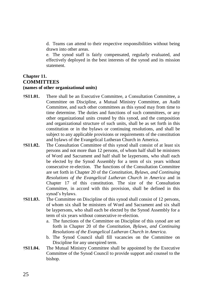d. Teams can attend to their respective responsibilities without being drawn into other areas.

e. The synod staff is fairly compensated, regularly evaluated, and effectively deployed in the best interests of the synod and its mission statement.

## **Chapter 11. COMMITTEES (names of other organizational units)**

- **†S11.01.** There shall be an Executive Committee, a Consultation Committee, a Committee on Discipline, a Mutual Ministry Committee, an Audit Committee, and such other committees as this synod may from time to time determine. The duties and functions of such committees, or any other organizational units created by this synod, and the composition and organizational structure of such units, shall be as set forth in this constitution or in the bylaws or continuing resolutions, and shall be subject to any applicable provisions or requirements of the constitution and bylaws of the Evangelical Lutheran Church in America.
- **†S11.02.** The Consultation Committee of this synod shall consist of at least six persons and not more than 12 persons, of whom half shall be ministers of Word and Sacrament and half shall be laypersons, who shall each be elected by the Synod Assembly for a term of six years without consecutive re-election. The functions of the Consultation Committee are set forth in Chapter 20 of the *Constitution, Bylaws, and Continuing Resolutions of the Evangelical Lutheran Church in America* and in Chapter 17 of this constitution. The size of the Consultation Committee, in accord with this provision, shall be defined in this synod's bylaws.
- **†S11.03.** The Committee on Discipline of this synod shall consist of 12 persons, of whom six shall be ministers of Word and Sacrament and six shall be laypersons, who shall each be elected by the Synod Assembly for a term of six years without consecutive re-election.
	- a. The functions of the Committee on Discipline of this synod are set forth in Chapter 20 of the *Constitution, Bylaws, and Continuing Resolutions of the Evangelical Lutheran Church in America.*
	- b. The Synod Council shall fill vacancies on the Committee on Discipline for any unexpired term.
- **†S11.04.** The Mutual Ministry Committee shall be appointed by the Executive Committee of the Synod Council to provide support and counsel to the bishop.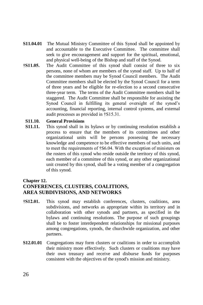- **S11.04.01** The Mutual Ministry Committee of this Synod shall be appointed by and accountable to the Executive Committee. The committee shall seek to give encouragement and support for the spiritual, emotional, and physical well-being of the Bishop and staff of the Synod.
- **†S11.05.** The Audit Committee of this synod shall consist of three to six persons, none of whom are members of the synod staff. Up to half of the committee members may be Synod Council members. The Audit Committee members shall be elected by the Synod Council for a term of three years and be eligible for re-election to a second consecutive three-year term. The terms of the Audit Committee members shall be staggered. The Audit Committee shall be responsible for assisting the Synod Council in fulfilling its general oversight of the synod's accounting, financial reporting, internal control systems, and external audit processes as provided in †S15.31.

#### **S11.10. General Provisions**

**S11.11.** This synod shall in its bylaws or by continuing resolution establish a process to ensure that the members of its committees and other organizational units will be persons possessing the necessary knowledge and competence to be effective members of such units, and to meet the requirements of †S6.04. With the exception of ministers on the rosters of this synod who reside outside the territory of this synod, each member of a committee of this synod, or any other organizational unit created by this synod, shall be a voting member of a congregation of this synod.

## **Chapter 12. CONFERENCES, CLUSTERS, COALITIONS, AREA SUBDIVISIONS, AND NETWORKS**

- **†S12.01.** This synod may establish conferences, clusters, coalitions, area subdivisions, and networks as appropriate within its territory and in collaboration with other synods and partners, as specified in the bylaws and continuing resolutions. The purpose of such groupings shall be to foster interdependent relationships for missional purposes among congregations, synods, the churchwide organization, and other partners.
- **S12.01.01** Congregations may form clusters or coalitions in order to accomplish their ministry more effectively. Such clusters or coalitions may have their own treasury and receive and disburse funds for purposes consistent with the objectives of the synod's mission and ministry.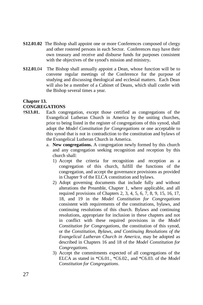- **S12.01.02** The Bishop shall appoint one or more Conferences composed of clergy and other rostered persons in each Sector. Conferences may have their own treasury and receive and disburse funds for purposes consistent with the objectives of the synod's mission and ministry**.**
- **S12.01.**04 The Bishop shall annually appoint a Dean, whose function will be to convene regular meetings of the Conference for the purpose of studying and discussing theological and ecclesial matters. Each Dean will also be a member of a Cabinet of Deans, which shall confer with the Bishop several times a year.

#### **Chapter 13.**

#### **CONGREGATIONS**

- **†S13.01.** Each congregation, except those certified as congregations of the Evangelical Lutheran Church in America by the uniting churches, prior to being listed in the register of congregations of this synod, shall adopt the *Model Constitution for Congregations* or one acceptable to this synod that is not in contradiction to the constitution and bylaws of the Evangelical Lutheran Church in America.
	- a. **New congregations.** A congregation newly formed by this church and any congregation seeking recognition and reception by this church shall:
		- 1) Accept the criteria for recognition and reception as a congregation of this church, fulfill the functions of the congregation, and accept the governance provisions as provided in Chapter 9 of the ELCA constitution and bylaws.
		- 2) Adopt governing documents that include fully and without alterations the Preamble, Chapter 1, where applicable, and all required provisions of Chapters 2, 3, 4, 5, 6, 7, 8, 9, 15, 16, 17, 18, and 19 in the *Model Constitution for Congregations* consistent with requirements of the constitutions, bylaws, and continuing resolutions of this church. Bylaws and continuing resolutions, appropriate for inclusion in these chapters and not in conflict with these required provisions in the *Model Constitution for Congregations*, the constitution of this synod, or the *Constitution, Bylaws, and Continuing Resolutions of the Evangelical Lutheran Church in America*, may be adopted as described in Chapters 16 and 18 of the *Model Constitution for Congregations.*
		- 3) Accept the commitments expected of all congregations of the ELCA as stated in \*C6.01., \*C6.02., and \*C6.03. of the *Model Constitution for Congregations*.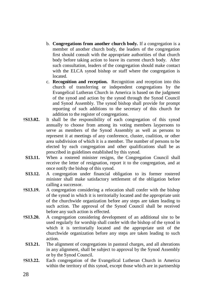- b. **Congregations from another church body.** If a congregation is a member of another church body, the leaders of the congregation first should consult with the appropriate authorities of that church body before taking action to leave its current church body. After such consultation, leaders of the congregation should make contact with the ELCA synod bishop or staff where the congregation is located.
- c. **Recognition and reception.** Recognition and reception into this church of transferring or independent congregations by the Evangelical Lutheran Church in America is based on the judgment of the synod and action by the synod through the Synod Council and Synod Assembly. The synod bishop shall provide for prompt reporting of such additions to the secretary of this church for addition to the register of congregations.
- **†S13.02.** It shall be the responsibility of each congregation of this synod annually to choose from among its voting members laypersons to serve as members of the Synod Assembly as well as persons to represent it at meetings of any conference, cluster, coalition, or other area subdivision of which it is a member. The number of persons to be elected by each congregation and other qualifications shall be as prescribed in guidelines established by this synod.
	- **S13.11.** When a rostered minister resigns, the Congregation Council shall receive the letter of resignation, report it to the congregation, and at once notify the bishop of this synod.
- **S13.12.** A congregation under financial obligation to its former rostered minister shall make satisfactory settlement of the obligation before calling a successor.
- **†S13.19.** A congregation considering a relocation shall confer with the bishop of the synod in which it is territorially located and the appropriate unit of the churchwide organization before any steps are taken leading to such action. The approval of the Synod Council shall be received before any such action is effected.
- **†S13.20.** A congregation considering development of an additional site to be used regularly for worship shall confer with the bishop of the synod in which it is territorially located and the appropriate unit of the churchwide organization before any steps are taken leading to such action.
- **S13.21.** The alignment of congregations in pastoral charges, and all alterations in any alignment, shall be subject to approval by the Synod Assembly or by the Synod Council.
- **†S13.22.** Each congregation of the Evangelical Lutheran Church in America within the territory of this synod, except those which are in partnership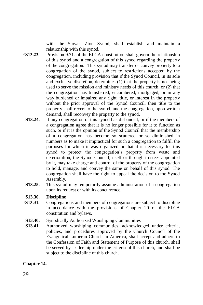with the Slovak Zion Synod, shall establish and maintain a relationship with this synod.

- **†S13.23.** Provision 9.71. of the ELCA constitution shall govern the relationship of this synod and a congregation of this synod regarding the property of the congregation. This synod may transfer or convey property to a congregation of the synod, subject to restrictions accepted by the congregation, including provision that if the Synod Council, in its sole and exclusive discretion, determines (1) that the property is not being used to serve the mission and ministry needs of this church, or (2) that the congregation has transferred, encumbered, mortgaged, or in any way burdened or impaired any right, title, or interest in the property without the prior approval of the Synod Council, then title to the property shall revert to the synod, and the congregation, upon written demand, shall reconvey the property to the synod.
	- **S13.24.** If any congregation of this synod has disbanded, or if the members of a congregation agree that it is no longer possible for it to function as such, or if it is the opinion of the Synod Council that the membership of a congregation has become so scattered or so diminished in numbers as to make it impractical for such a congregation to fulfill the purposes for which it was organized or that it is necessary for this synod to protect the congregation's property from waste and deterioration, the Synod Council, itself or through trustees appointed by it, may take charge and control of the property of the congregation to hold, manage, and convey the same on behalf of this synod. The congregation shall have the right to appeal the decision to the Synod Assembly.
- **S13.25.** This synod may temporarily assume administration of a congregation upon its request or with its concurrence.

## **S13.30. Discipline**

- **†S13.31.** Congregations and members of congregations are subject to discipline in accordance with the provisions of Chapter 20 of the ELCA constitution and bylaws.
	- **S13.40.** Synodically Authorized Worshiping Communities
	- **S13.41.** Authorized worshiping communities, acknowledged under criteria, policies, and procedures approved by the Church Council of the Evangelical Lutheran Church in America, shall accept and adhere to the Confession of Faith and Statement of Purpose of this church, shall be served by leadership under the criteria of this church, and shall be subject to the discipline of this church.

## **Chapter 14.**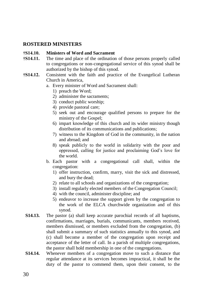#### **ROSTERED MINISTERS**

#### **†S14.10. Ministers of Word and Sacrament**

- **†S14.11.** The time and place of the ordination of those persons properly called to congregations or non-congregational service of this synod shall be authorized by the bishop of this synod.
- **†S14.12.** Consistent with the faith and practice of the Evangelical Lutheran Church in America,
	- a. Every minister of Word and Sacrament shall:
		- 1) preach the Word;
		- 2) administer the sacraments;
		- 3) conduct public worship;
		- 4) provide pastoral care;
		- 5) seek out and encourage qualified persons to prepare for the ministry of the Gospel;
		- 6) impart knowledge of this church and its wider ministry though distribution of its communications and publications;
		- 7) witness to the Kingdom of God in the community, in the nation and abroad; and
		- 8) speak publicly to the world in solidarity with the poor and oppressed, calling for justice and proclaiming God's love for the world.
	- b. Each pastor with a congregational call shall, within the congregation:
		- 1) offer instruction, confirm, marry, visit the sick and distressed, and bury the dead;
		- 2) relate to all schools and organizations of the congregation;
		- 3) install regularly elected members of the Congregation Council;
		- 4) with the council, administer discipline; and
		- 5) endeavor to increase the support given by the congregation to the work of the ELCA churchwide organization and of this synod.
	- **S14.13.** The pastor (a) shall keep accurate parochial records of all baptisms, confirmations, marriages, burials, communicants, members received, members dismissed, or members excluded from the congregation, (b) shall submit a summary of such statistics annually to this synod, and (c) shall become a member of the congregation upon receipt and acceptance of the letter of call. In a parish of multiple congregations, the pastor shall hold membership in one of the congregations.
	- **S14.14.** Whenever members of a congregation move to such a distance that regular attendance at its services becomes impractical, it shall be the duty of the pastor to commend them, upon their consent, to the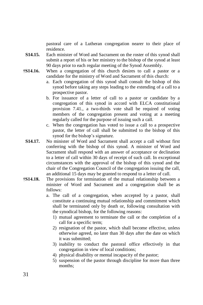pastoral care of a Lutheran congregation nearer to their place of residence.

- **S14.15.** Each minister of Word and Sacrament on the roster of this synod shall submit a report of his or her ministry to the bishop of the synod at least 90 days prior to each regular meeting of the Synod Assembly.
- **†S14.16.** When a congregation of this church desires to call a pastor or a candidate for the ministry of Word and Sacrament of this church:
	- a. Each congregation of this synod shall consult the bishop of this synod before taking any steps leading to the extending of a call to a prospective pastor.
	- b. For issuance of a letter of call to a pastor or candidate by a congregation of this synod in accord with ELCA constitutional provision 7.41., a two-thirds vote shall be required of voting members of the congregation present and voting at a meeting regularly called for the purpose of issuing such a call.
	- c. When the congregation has voted to issue a call to a prospective pastor, the letter of call shall be submitted to the bishop of this synod for the bishop's signature.
	- **S14.17.** No minister of Word and Sacrament shall accept a call without first conferring with the bishop of this synod. A minister of Word and Sacrament shall respond with an answer of acceptance or declination to a letter of call within 30 days of receipt of such call. In exceptional circumstances with the approval of the bishop of this synod and the chair of the Congregation Council of the congregation issuing the call, an additional 15 days may be granted to respond to a letter of call.
- **†S14.18.** The provisions for termination of the mutual relationship between a minister of Word and Sacrament and a congregation shall be as follows:
	- a. The call of a congregation, when accepted by a pastor, shall constitute a continuing mutual relationship and commitment which shall be terminated only by death or, following consultation with the synodical bishop, for the following reasons:
		- 1) mutual agreement to terminate the call or the completion of a call for a specific term;
		- 2) resignation of the pastor, which shall become effective, unless otherwise agreed, no later than 30 days after the date on which it was submitted;
		- 3) inability to conduct the pastoral office effectively in that congregation in view of local conditions;
		- 4) physical disability or mental incapacity of the pastor;
		- 5) suspension of the pastor through discipline for more than three months;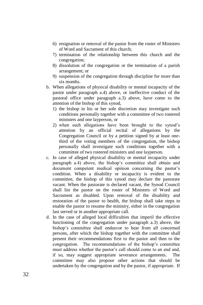- 6) resignation or removal of the pastor from the roster of Ministers of Word and Sacrament of this church;
- 7) termination of the relationship between this church and the congregation;
- 8) dissolution of the congregation or the termination of a parish arrangement; or
- 9) suspension of the congregation through discipline for more than six months.
- b. When allegations of physical disability or mental incapacity of the pastor under paragraph a.4) above, or ineffective conduct of the pastoral office under paragraph a.3) above, have come to the attention of the bishop of this synod,
	- 1) the bishop in his or her sole discretion may investigate such conditions personally together with a committee of two rostered ministers and one layperson, or
	- 2) when such allegations have been brought to the synod's attention by an official recital of allegations by the Congregation Council or by a petition signed by at least onethird of the voting members of the congregation, the bishop personally shall investigate such conditions together with a committee of two rostered ministers and one layperson.
- c. In case of alleged physical disability or mental incapacity under paragraph a.4) above, the bishop's committee shall obtain and document competent medical opinion concerning the pastor's condition. When a disability or incapacity is evident to the committee, the bishop of this synod may declare the pastorate vacant. When the pastorate is declared vacant, the Synod Council shall list the pastor on the roster of Ministers of Word and Sacrament as disabled. Upon removal of the disability and restoration of the pastor to health, the bishop shall take steps to enable the pastor to resume the ministry, either in the congregation last served or in another appropriate call.
- d. In the case of alleged local difficulties that imperil the effective functioning of the congregation under paragraph a.3) above, the bishop's committee shall endeavor to hear from all concerned persons, after which the bishop together with the committee shall present their recommendations first to the pastor and then to the congregation. The recommendations of the bishop's committee must address whether the pastor's call should come to an end and, if so, may suggest appropriate severance arrangements. The committee may also propose other actions that should be undertaken by the congregation and by the pastor, if appropriate. If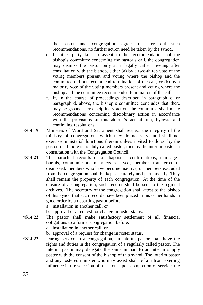the pastor and congregation agree to carry out such recommendations, no further action need be taken by the synod.

- e. If either party fails to assent to the recommendations of the bishop's committee concerning the pastor's call, the congregation may dismiss the pastor only at a legally called meeting after consultation with the bishop, either (a) by a two-thirds vote of the voting members present and voting where the bishop and the committee did not recommend termination of the call, or (b) by a majority vote of the voting members present and voting where the bishop and the committee recommended termination of the call.
- f. If, in the course of proceedings described in paragraph c. or paragraph d. above, the bishop's committee concludes that there may be grounds for disciplinary action, the committee shall make recommendations concerning disciplinary action in accordance with the provisions of this church's constitution, bylaws, and continuing resolutions.
- **†S14.19.** Ministers of Word and Sacrament shall respect the integrity of the ministry of congregations which they do not serve and shall not exercise ministerial functions therein unless invited to do so by the pastor, or if there is no duly called pastor, then by the interim pastor in consultation with the Congregation Council.
- **†S14.21.** The parochial records of all baptisms, confirmations, marriages, burials, communicants, members received, members transferred or dismissed, members who have become inactive, or members excluded from the congregation shall be kept accurately and permanently. They shall remain the property of each congregation. At the time of the closure of a congregation, such records shall be sent to the regional archives. The secretary of the congregation shall attest to the bishop of this synod that such records have been placed in his or her hands in good order by a departing pastor before:
	- a. installation in another call, or
	- b. approval of a request for change in roster status.
- **†S14.22.** The pastor shall make satisfactory settlement of all financial obligations to a former congregation before:
	- a. installation in another call, or
	- b. approval of a request for change in roster status.
- **†S14.23.** During service to a congregation, an interim pastor shall have the rights and duties in the congregation of a regularly called pastor. The interim pastor may delegate the same in part to an interim supply pastor with the consent of the bishop of this synod. The interim pastor and any rostered minister who may assist shall refrain from exerting influence in the selection of a pastor. Upon completion of service, the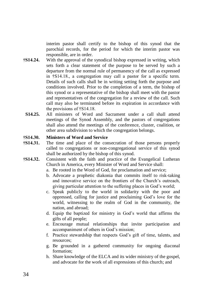interim pastor shall certify to the bishop of this synod that the parochial records, for the period for which the interim pastor was responsible, are in order.

- **†S14.24.** With the approval of the synodical bishop expressed in writing, which sets forth a clear statement of the purpose to be served by such a departure from the normal rule of permanency of the call as expressed in †S14.18., a congregation may call a pastor for a specific term. Details of such calls shall be in writing setting forth the purpose and conditions involved. Prior to the completion of a term, the bishop of this synod or a representative of the bishop shall meet with the pastor and representatives of the congregation for a review of the call. Such call may also be terminated before its expiration in accordance with the provisions of †S14.18.
- **S14.25.** All ministers of Word and Sacrament under a call shall attend meetings of the Synod Assembly, and the pastors of congregations shall also attend the meetings of the conference, cluster, coalition, or other area subdivision to which the congregation belongs.

#### **†S14.30. Ministers of Word and Service**

- **†S14.31.** The time and place of the consecration of those persons properly called to congregations or non-congregational service of this synod shall be authorized by the bishop of this synod.
- **†S14.32.** Consistent with the faith and practice of the Evangelical Lutheran Church in America, every Minister of Word and Service shall:
	- a. Be rooted in the Word of God, for proclamation and service;
	- b. Advocate a prophetic diakonia that commits itself to risk-taking and innovative service on the frontiers of the Church's outreach, giving particular attention to the suffering places in God's world;
	- c. Speak publicly to the world in solidarity with the poor and oppressed, calling for justice and proclaiming God's love for the world, witnessing to the realm of God in the community, the nation, and abroad;
	- d. Equip the baptized for ministry in God's world that affirms the gifts of all people;
	- e. Encourage mutual relationships that invite participation and accompaniment of others in God's mission;
	- f. Practice stewardship that respects God's gift of time, talents, and resources;
	- g. Be grounded in a gathered community for ongoing diaconal formation;
	- h. Share knowledge of the ELCA and its wider ministry of the gospel, and advocate for the work of all expressions of this church; and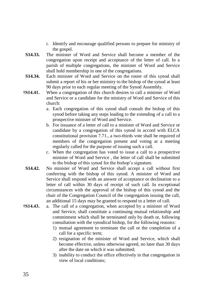- i. Identify and encourage qualified persons to prepare for ministry of the gospel.
- **S14.33.** The minister of Word and Service shall become a member of the congregation upon receipt and acceptance of the letter of call. In a parish of multiple congregations, the minister of Word and Service shall hold membership in one of the congregations.
- **S14.34.** Each minister of Word and Service on the roster of this synod shall submit a report of his or her ministry to the bishop of the synod at least 90 days prior to each regular meeting of the Synod Assembly.
- **†S14.41.** When a congregation of this church desires to call a minister of Word and Service or a candidate for the ministry of Word and Service of this church:
	- a. Each congregation of this synod shall consult the bishop of this synod before taking any steps leading to the extending of a call to a prospective minister of Word and Service.
	- b. For issuance of a letter of call to a minister of Word and Service or candidate by a congregation of this synod in accord with ELCA constitutional provision 7.71., a two-thirds vote shall be required of members of the congregation present and voting at a meeting regularly called for the purpose of issuing such a call.
	- c. When the congregation has voted to issue a call to a prospective minister of Word and Service , the letter of call shall be submitted to the bishop of this synod for the bishop's signature.
- **S14.42.** No minister of Word and Service shall accept a call without first conferring with the bishop of this synod. A minister of Word and Service shall respond with an answer of acceptance or declination to a letter of call within 30 days of receipt of such call. In exceptional circumstances with the approval of the bishop of this synod and the chair of the Congregation Council of the congregation issuing the call, an additional 15 days may be granted to respond to a letter of call.
- **†S14.43.** a. The call of a congregation, when accepted by a minister of Word and Service, shall constitute a continuing mutual relationship and commitment which shall be terminated only by death or, following consultation with the synodical bishop, for the following reasons:
	- 1) mutual agreement to terminate the call or the completion of a call for a specific term;
	- 2) resignation of the minister of Word and Service, which shall become effective, unless otherwise agreed, no later than 30 days after the date on which it was submitted;
	- 3) inability to conduct the office effectively in that congregation in view of local conditions;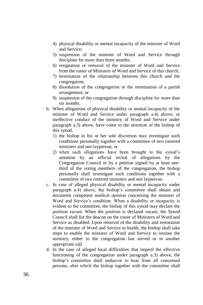- 4) physical disability or mental incapacity of the minister of Word and Service;
- 5) suspension of the minister of Word and Service through discipline for more than three months;
- 6) resignation or removal of the minister of Word and Service from the roster of Ministers of Word and Service of this church;
- 7) termination of the relationship between this church and the congregation;
- 8) dissolution of the congregation or the termination of a parish arrangement; or
- 9) suspension of the congregation through discipline for more than six months.
- b. When allegations of physical disability or mental incapacity of the minister of Word and Service under paragraph a.4) above, or ineffective conduct of the ministry of Word and Service under paragraph a.3) above, have come to the attention of the bishop of this synod,
	- 1) the bishop in his or her sole discretion may investigate such conditions personally together with a committee of two rostered ministers and one layperson, or
	- 2) when such allegations have been brought to the synod's attention by an official recital of allegations by the Congregation Council or by a petition signed by at least onethird of the voting members of the congregation, the bishop personally shall investigate such conditions together with a committee of two rostered ministers and one layperson.
- c. In case of alleged physical disability or mental incapacity under paragraph a.4) above, the bishop's committee shall obtain and document competent medical opinion concerning the minister of Word and Service's condition. When a disability or incapacity is evident to the committee, the bishop of this synod may declare the position vacant. When the position is declared vacant, the Synod Council shall list the deacon on the roster of Ministers of Word and Service as disabled. Upon removal of the disability and restoration of the minister of Word and Service to health, the bishop shall take steps to enable the minister of Word and Service to resume the ministry, either in the congregation last served or in another appropriate call.
- d. In the case of alleged local difficulties that imperil the effective functioning of the congregation under paragraph a.3) above, the bishop's committee shall endeavor to hear from all concerned persons, after which the bishop together with the committee shall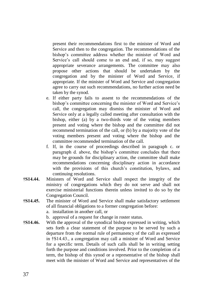present their recommendations first to the minister of Word and Service and then to the congregation. The recommendations of the bishop's committee address whether the minister of Word and Service's call should come to an end and, if so, may suggest appropriate severance arrangements. The committee may also propose other actions that should be undertaken by the congregation and by the minister of Word and Service, if appropriate. If the minister of Word and Service and congregation agree to carry out such recommendations, no further action need be taken by the synod.

- e. If either party fails to assent to the recommendations of the bishop's committee concerning the minister of Word and Service's call, the congregation may dismiss the minister of Word and Service only at a legally called meeting after consultation with the bishop, either (a) by a two-thirds vote of the voting members present and voting where the bishop and the committee did not recommend termination of the call, or (b) by a majority vote of the voting members present and voting where the bishop and the committee recommended termination of the call.
- f. If, in the course of proceedings described in paragraph c. or paragraph d. above, the bishop's committee concludes that there may be grounds for disciplinary action, the committee shall make recommendations concerning disciplinary action in accordance with the provisions of this church's constitution, bylaws, and continuing resolutions.
- **†S14.44.** Ministers of Word and Service shall respect the integrity of the ministry of congregations which they do not serve and shall not exercise ministerial functions therein unless invited to do so by the Congregation Council.
- **†S14.45.** The minister of Word and Service shall make satisfactory settlement of all financial obligations to a former congregation before:
	- a. installation in another call, or
	- b. approval of a request for change in roster status.
- **†S14.46.** With the approval of the synodical bishop expressed in writing, which sets forth a clear statement of the purpose to be served by such a departure from the normal rule of permanency of the call as expressed in †S14.43., a congregation may call a minister of Word and Service for a specific term. Details of such calls shall be in writing setting forth the purpose and conditions involved. Prior to the completion of a term, the bishop of this synod or a representative of the bishop shall meet with the minister of Word and Service and representatives of the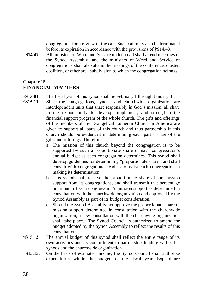congregation for a review of the call. Such call may also be terminated before its expiration in accordance with the provisions of †S14.43.

 **S14.47.** All ministers of Word and Service under a call shall attend meetings of the Synod Assembly, and the ministers of Word and Service of congregations shall also attend the meetings of the conference, cluster, coalition, or other area subdivision to which the congregation belongs.

#### **Chapter 15. FINANCIAL MATTERS**

- **†S15.01.** The fiscal year of this synod shall be February 1 through January 31.
- **†S15.11.** Since the congregations, synods, and churchwide organization are interdependent units that share responsibly in God's mission, all share in the responsibility to develop, implement, and strengthen the financial support program of the whole church. The gifts and offerings of the members of the Evangelical Lutheran Church in America are given to support all parts of this church and thus partnership in this church should be evidenced in determining each part's share of the gifts and offerings. Therefore:
	- a. The mission of this church beyond the congregation is to be supported by such a proportionate share of each congregation's annual budget as each congregation determines. This synod shall develop guidelines for determining "proportionate share," and shall consult with congregational leaders to assist each congregation in making its determination.
	- b. This synod shall receive the proportionate share of the mission support from its congregations, and shall transmit that percentage or amount of each congregation's mission support as determined in consultation with the churchwide organization and approved by the Synod Assembly as part of its budget consideration.
	- c. Should the Synod Assembly not approve the proportionate share of mission support determined in consultation with the churchwide organization, a new consultation with the churchwide organization shall take place. The Synod Council is authorized to amend the budget adopted by the Synod Assembly to reflect the results of this consultation.
- **†S15.12.** The annual budget of this synod shall reflect the entire range of its own activities and its commitment to partnership funding with other synods and the churchwide organization.
- **S15.13.** On the basis of estimated income, the Synod Council shall authorize expenditures within the budget for the fiscal year. Expenditure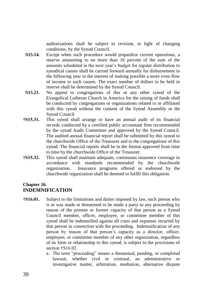authorizations shall be subject to revision, in light of changing conditions, by the Synod Council.

- **S15.14.** Except when such procedure would jeopardize current operations, a reserve amounting to no more than 16 percent of the sum of the amounts scheduled in the next year's budget for regular distribution to synodical causes shall be carried forward annually for disbursement in the following year in the interest of making possible a more even flow of income to such causes. The exact number of dollars to be held in reserve shall be determined by the Synod Council.
- **S15.21.** No appeal to congregations of this or any other synod of the Evangelical Lutheran Church in America for the raising of funds shall be conducted by congregations or organizations related to or affiliated with this synod without the consent of the Synod Assembly or the Synod Council.
- **†S15.31.** This synod shall arrange to have an annual audit of its financial records conducted by a certified public accountant firm recommended by the synod Audit Committee and approved by the Synod Council. The audited annual financial report shall be submitted by this synod to the churchwide Office of the Treasurer and to the congregations of this synod. The financial reports shall be in the format approved from time to time by the churchwide Office of the Treasurer.
- **†S15.32.** This synod shall maintain adequate, continuous insurance coverage in accordance with standards recommended by the churchwide organization. Insurance programs offered or endorsed by the churchwide organization shall be deemed to fulfill this obligation.

## **Chapter 16. INDEMNIFICATION**

- **†S16.01.** Subject to the limitations and duties imposed by law, each person who is or was made or threatened to be made a party to any proceeding by reason of the present or former capacity of that person as a Synod Council member, officer, employee, or committee member of this synod shall be indemnified against all costs and expenses incurred by that person in connection with the proceeding. Indemnification of any person by reason of that person's capacity as a director, officer, employee, or committee member of any other organization, regardless of its form or relationship to this synod, is subject to the provisions of section †S16.02.
	- a. The term "proceeding" means a threatened, pending, or completed lawsuit, whether civil or criminal, an administrative or investigative matter, arbitration, mediation, alternative dispute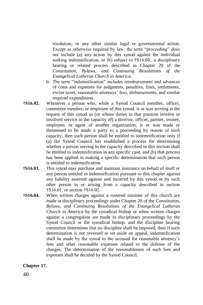resolution, or any other similar legal or governmental action. Except as otherwise required by law, the term "proceeding" does not include (a) any action by this synod against the individual seeking indemnification, or (b) subject to †S16.04., a disciplinary hearing or related process described in Chapter 20 of the *Constitution, Bylaws, and Continuing Resolutions of the Evangelical Lutheran Church in America*.

- b. The term "indemnification" includes reimbursement and advances of costs and expenses for judgments, penalties, fines, settlements, excise taxes, reasonable attorneys' fees, disbursements, and similar required expenditures.
- **†S16.02.** Whenever a person who, while a Synod Council member, officer, committee member, or employee of this synod, is or was serving at the request of this synod as (or whose duties in that position involve or involved service in the capacity of) a director, officer, partner, trustee, employee, or agent of another organization, is or was made or threatened to be made a party to a proceeding by reason of such capacity, then such person shall be entitled to indemnification only if (a) the Synod Council has established a process for determining whether a person serving in the capacity described in this section shall be entitled to indemnification in any specific case, and (b) that process has been applied in making a specific determination that such person is entitled to indemnification.
- **†S16.03.** This synod may purchase and maintain insurance on behalf of itself or any person entitled to indemnification pursuant to this chapter against any liability asserted against and incurred by this synod or by such other person in or arising from a capacity described in section †S16.01. or section †S16.02.
- **†S16.04.** When written charges against a rostered minister of this church are made in disciplinary proceedings under Chapter 20 of the *Constitution, Bylaws, and Continuing Resolutions of the Evangelical Lutheran Church in America* by the synodical bishop or when written charges against a congregation are made in disciplinary proceedings by the Synod Council or the synodical bishop, and the discipline hearing committee determines that no discipline shall be imposed, then if such determination is not reversed or set aside on appeal, indemnification shall be made by the synod to the accused for reasonable attorney's fees and other reasonable expenses related to the defense of the charges. The determination of the reasonableness of such fees and expenses shall be decided by the Synod Council.

#### **Chapter 17.**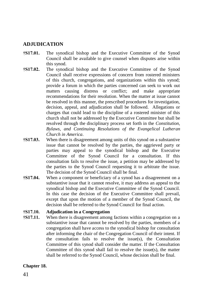#### **ADJUDICATION**

- **†S17.01.** The synodical bishop and the Executive Committee of the Synod Council shall be available to give counsel when disputes arise within this synod.
- **†S17.02.** The synodical bishop and the Executive Committee of the Synod Council shall receive expressions of concern from rostered ministers of this church, congregations, and organizations within this synod; provide a forum in which the parties concerned can seek to work out matters causing distress or conflict; and make appropriate recommendations for their resolution. When the matter at issue cannot be resolved in this manner, the prescribed procedures for investigation, decision, appeal, and adjudication shall be followed. Allegations or charges that could lead to the discipline of a rostered minister of this church shall not be addressed by the Executive Committee but shall be resolved through the disciplinary process set forth in the *Constitution, Bylaws, and Continuing Resolutions of the Evangelical Lutheran Church in America*.
- **†S17.03.** When there is disagreement among units of this synod on a substantive issue that cannot be resolved by the parties, the aggrieved party or parties may appeal to the synodical bishop and the Executive Committee of the Synod Council for a consultation. If this consultation fails to resolve the issue, a petition may be addressed by the parties to the Synod Council requesting it to arbitrate the issue. The decision of the Synod Council shall be final.
- **†S17.04.** When a component or beneficiary of a synod has a disagreement on a substantive issue that it cannot resolve, it may address an appeal to the synodical bishop and the Executive Committee of the Synod Council. In this case the decision of the Executive Committee shall prevail, except that upon the motion of a member of the Synod Council, the decision shall be referred to the Synod Council for final action.

#### **†S17.10. Adjudication in a Congregation**

**†S17.11.** When there is disagreement among factions within a congregation on a substantive issue that cannot be resolved by the parties, members of a congregation shall have access to the synodical bishop for consultation after informing the chair of the Congregation Council of their intent. If the consultation fails to resolve the issue(s), the Consultation Committee of this synod shall consider the matter. If the Consultation Committee of this synod shall fail to resolve the issue(s), the matter shall be referred to the Synod Council, whose decision shall be final.

## **Chapter 18.**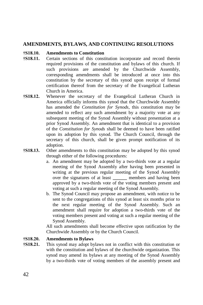## **AMENDMENTS, BYLAWS, AND CONTINUING RESOLUTIONS**

#### **†S18.10. Amendments to Constitution**

- **†S18.11.** Certain sections of this constitution incorporate and record therein required provisions of the constitution and bylaws of this church. If such provisions are amended by the Churchwide Assembly, corresponding amendments shall be introduced at once into this constitution by the secretary of this synod upon receipt of formal certification thereof from the secretary of the Evangelical Lutheran Church in America.
- **†S18.12.** Whenever the secretary of the Evangelical Lutheran Church in America officially informs this synod that the Churchwide Assembly has amended the *Constitution for Synods*, this constitution may be amended to reflect any such amendment by a majority vote at any subsequent meeting of the Synod Assembly without presentation at a prior Synod Assembly. An amendment that is identical to a provision of the *Constitution for Synods* shall be deemed to have been ratified upon its adoption by this synod. The Church Council, through the secretary of this church, shall be given prompt notification of its adoption.
- **†S18.13.** Other amendments to this constitution may be adopted by this synod through either of the following procedures:
	- a. An amendment may be adopted by a two-thirds vote at a regular meeting of the Synod Assembly after having been presented in writing at the previous regular meeting of the Synod Assembly over the signatures of at least **\_\_\_\_\_\_** members and having been approved by a two-thirds vote of the voting members present and voting at such a regular meeting of the Synod Assembly.
	- b. The Synod Council may propose an amendment, with notice to be sent to the congregations of this synod at least six months prior to the next regular meeting of the Synod Assembly. Such an amendment shall require for adoption a two-thirds vote of the voting members present and voting at such a regular meeting of the Synod Assembly.

All such amendments shall become effective upon ratification by the Churchwide Assembly or by the Church Council.

#### **†S18.20. Amendments to Bylaws**

**†S18.21.** This synod may adopt bylaws not in conflict with this constitution or with the constitution and bylaws of the churchwide organization. This synod may amend its bylaws at any meeting of the Synod Assembly by a two-thirds vote of voting members of the assembly present and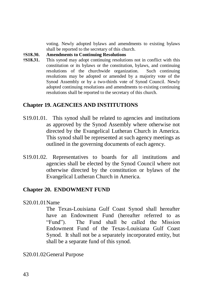voting. Newly adopted bylaws and amendments to existing bylaws shall be reported to the secretary of this church.

#### **†S18.30. Amendments to Continuing Resolutions**

**†S18.31.** This synod may adopt continuing resolutions not in conflict with this constitution or its bylaws or the constitution, bylaws, and continuing resolutions of the churchwide organization. Such continuing resolutions may be adopted or amended by a majority vote of the Synod Assembly or by a two-thirds vote of Synod Council. Newly adopted continuing resolutions and amendments to existing continuing resolutions shall be reported to the secretary of this church.

## **Chapter 19. AGENCIES AND INSTITUTIONS**

- S19.01.01. This synod shall be related to agencies and institutions as approved by the Synod Assembly where otherwise not directed by the Evangelical Lutheran Church in America. This synod shall be represented at such agency meetings as outlined in the governing documents of each agency.
- S19.01.02. Representatives to boards for all institutions and agencies shall be elected by the Synod Council where not otherwise directed by the constitution or bylaws of the Evangelical Lutheran Church in America.

## **Chapter 20. ENDOWMENT FUND**

## S20.01.01Name

The Texas-Louisiana Gulf Coast Synod shall hereafter have an Endowment Fund (hereafter referred to as "Fund"). The Fund shall be called the Mission Endowment Fund of the Texas-Louisiana Gulf Coast Synod. It shall not be a separately incorporated entity, but shall be a separate fund of this synod.

## S20.01.02General Purpose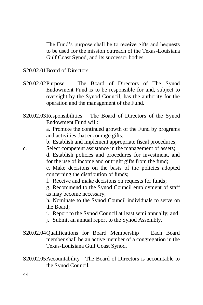The Fund's purpose shall be to receive gifts and bequests to be used for the mission outreach of the Texas-Louisiana Gulf Coast Synod, and its successor bodies.

- S20.02.01Board of Directors
- S20.02.02Purpose The Board of Directors of The Synod Endowment Fund is to be responsible for and, subject to oversight by the Synod Council, has the authority for the operation and the management of the Fund.
- S20.02.03Responsibilities The Board of Directors of the Synod Endowment Fund will:

a. Promote the continued growth of the Fund by programs and activities that encourage gifts;

- b. Establish and implement appropriate fiscal procedures;
- c. Select competent assistance in the management of assets;
	- d. Establish policies and procedures for investment, and for the use of income and outright gifts from the fund;

e. Make decisions on the basis of the policies adopted concerning the distribution of funds;

f. Receive and make decisions on requests for funds;

g. Recommend to the Synod Council employment of staff as may become necessary;

h. Nominate to the Synod Council individuals to serve on the Board;

- i. Report to the Synod Council at least semi annually; and
- j. Submit an annual report to the Synod Assembly.

## S20.02.04Qualifications for Board Membership Each Board member shall be an active member of a congregation in the Texas-Louisiana Gulf Coast Synod.

S20.02.05Accountability The Board of Directors is accountable to the Synod Council.

44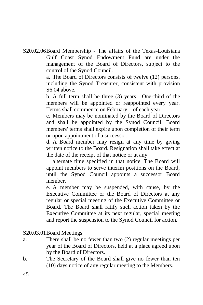S20.02.06Board Membership - The affairs of the Texas-Louisiana Gulf Coast Synod Endowment Fund are under the management of the Board of Directors, subject to the control of the Synod Council.

> a. The Board of Directors consists of twelve (12) persons, including the Synod Treasurer, consistent with provision S6.04 above.

> b. A full term shall be three (3) years. One-third of the members will be appointed or reappointed every year. Terms shall commence on February 1 of each year.

> c. Members may be nominated by the Board of Directors and shall be appointed by the Synod Council. Board members' terms shall expire upon completion of their term or upon appointment of a successor.

> d. A Board member may resign at any time by giving written notice to the Board. Resignation shall take effect at the date of the receipt of that notice or at any

> alternate time specified in that notice. The Board will appoint members to serve interim positions on the Board, until the Synod Council appoints a successor Board member.

> e. A member may be suspended, with cause, by the Executive Committee or the Board of Directors at any regular or special meeting of the Executive Committee or Board. The Board shall ratify such action taken by the Executive Committee at its next regular, special meeting and report the suspension to the Synod Council for action.

S20.03.01Board Meetings

- a. There shall be no fewer than two (2) regular meetings per year of the Board of Directors, held at a place agreed upon by the Board of Directors.
- b. The Secretary of the Board shall give no fewer than ten (10) days notice of any regular meeting to the Members.

45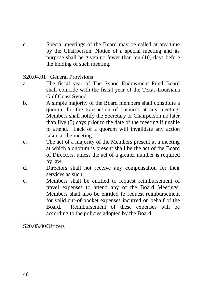c. Special meetings of the Board may be called at any time by the Chairperson. Notice of a special meeting and its purpose shall be given no fewer than ten (10) days before the holding of such meeting.

S20.04.01 General Provisions

- a. The fiscal year of The Synod Endowment Fund Board shall coincide with the fiscal year of the Texas-Louisiana Gulf Coast Synod.
- b. A simple majority of the Board members shall constitute a quorum for the transaction of business at any meeting. Members shall notify the Secretary or Chairperson no later than five (5) days prior to the date of the meeting if unable to attend. Lack of a quorum will invalidate any action taken at the meeting.
- c. The act of a majority of the Members present at a meeting at which a quorum is present shall be the act of the Board of Directors, unless the act of a greater number is required by law.
- d. Directors shall not receive any compensation for their services as such.
- e. Members shall be entitled to request reimbursement of travel expenses to attend any of the Board Meetings. Members shall also be entitled to request reimbursement for valid out-of-pocket expenses incurred on behalf of the Board. Reimbursement of these expenses will be according to the policies adopted by the Board.

S20.05.00Officers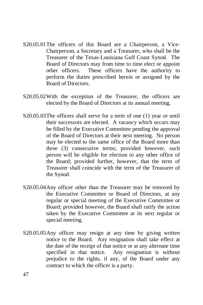- S20.05.01The officers of this Board are a Chairperson, a Vice-Chairperson, a Secretary and a Treasurer, who shall be the Treasurer of the Texas-Louisiana Gulf Coast Synod. The Board of Directors may from time to time elect or appoint other officers. These officers have the authority to perform the duties prescribed herein or assigned by the Board of Directors.
- S20.05.02 With the exception of the Treasurer, the officers are elected by the Board of Directors at its annual meeting.
- S20.05.03The officers shall serve for a term of one (1) year or until their successors are elected. A vacancy which occurs may be filled by the Executive Committee pending the approval of the Board of Directors at their next meeting. No person may be elected to the same office of the Board more than three (3) consecutive terms; provided however, such person will be eligible for election to any other office of the Board; provided further, however, that the term of Treasurer shall coincide with the term of the Treasurer of the Synod.
- S20.05.04Any officer other than the Treasurer may be removed by the Executive Committee or Board of Directors, at any regular or special meeting of the Executive Committee or Board; provided however, the Board shall ratify the action taken by the Executive Committee at its next regular or special meeting.
- S20.05.05Any officer may resign at any time by giving written notice to the Board. Any resignation shall take effect at the date of the receipt of that notice or at any alternate time specified in that notice. Any resignation is without prejudice to the rights, if any, of the Board under any contract to which the officer is a party.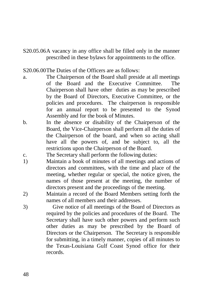S20.05.06A vacancy in any office shall be filled only in the manner prescribed in these bylaws for appointments to the office.

S20.06.00The Duties of the Officers are as follows:

- a. The Chairperson of the Board shall preside at all meetings of the Board and the Executive Committee. The Chairperson shall have other duties as may be prescribed by the Board of Directors, Executive Committee, or the policies and procedures. The chairperson is responsible for an annual report to be presented to the Synod Assembly and for the book of Minutes.
- b. In the absence or disability of the Chairperson of the Board, the Vice-Chairperson shall perform all the duties of the Chairperson of the board, and when so acting shall have all the powers of, and be subject to, all the restrictions upon the Chairperson of the Board.
- c. The Secretary shall perform the following duties:
- 1) Maintain a book of minutes of all meetings and actions of directors and committees, with the time and place of the meeting, whether regular or special, the notice given, the names of those present at the meeting, the number of directors present and the proceedings of the meeting.
- 2) Maintain a record of the Board Members setting forth the names of all members and their addresses.
- 3) Give notice of all meetings of the Board of Directors as required by the policies and procedures of the Board. The Secretary shall have such other powers and perform such other duties as may be prescribed by the Board of Directors or the Chairperson. The Secretary is responsible for submitting, in a timely manner, copies of all minutes to the Texas-Louisiana Gulf Coast Synod office for their records.